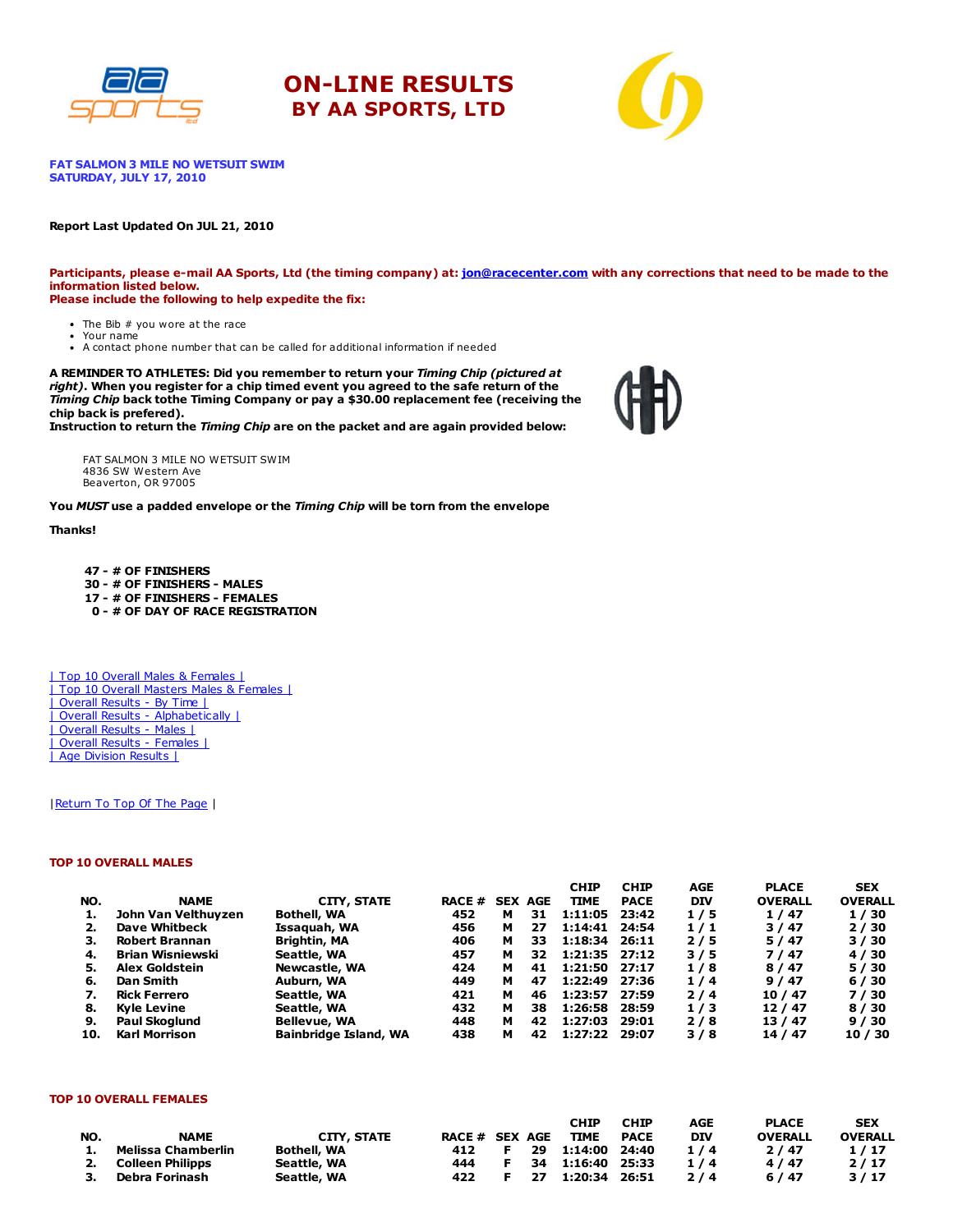





FAT SALMON 3 MILE NO WETSUIT SWIM SATURDAY, JULY 17, 2010

#### Report Last Updated On JUL 21, 2010

Participants, please e-mail AA Sports, Ltd (the timing company) at: [jon@racecenter.com](mailto:jon@racecenter.com?subject=Fat%20Salmon%203%20Mile%20No%20Wetsuit%20Swim%20Race%20Inquiry) with any corrections that need to be made to the information listed below. Please include the following to help expedite the fix:

- The Bib # you wore at the race Your name
- A contact phone number that can be called for additional information if needed

A REMINDER TO ATHLETES: Did you remember to return your Timing Chip (pictured at right). When you register for a chip timed event you agreed to the safe return of the Timing Chip back tothe Timing Company or pay a \$30.00 replacement fee (receiving the chip back is prefered).

Instruction to return the Timing Chip are on the packet and are again provided below:

FAT SALMON 3 MILE NO WETSUIT SWIM 4836 SW Western Ave Beaverton, OR 97005

You MUST use a padded envelope or the Timing Chip will be torn from the envelope

### Thanks!

 - # OF FINISHERS - # OF FINISHERS - MALES - # OF FINISHERS - FEMALES - # OF DAY OF RACE REGISTRATION

| Top 10 Overall Males & Females | | Top 10 Overall Masters Males & Females | | Overall Results - By Time | | Overall Results - Alphabetically | | Overall Results - Males | | Overall Results - Females | | Age Division Results |

### | Return To Top Of The Page |

### TOP 10 OVERALL MALES

|     |                         |                              |        |   |                | <b>CHIP</b>   | <b>CHIP</b> | AGE        | <b>PLACE</b>   | <b>SEX</b>     |
|-----|-------------------------|------------------------------|--------|---|----------------|---------------|-------------|------------|----------------|----------------|
| NO. | <b>NAME</b>             | CITY, STATE                  | RACE # |   | <b>SEX AGE</b> | <b>TIME</b>   | <b>PACE</b> | <b>DIV</b> | <b>OVERALL</b> | <b>OVERALL</b> |
| 1.  | John Van Velthuyzen     | <b>Bothell, WA</b>           | 452    | м | 31             | 1:11:05       | 23:42       | 1/5        | 1/47           | 1/30           |
| 2.  | <b>Dave Whitbeck</b>    | Issaguah, WA                 | 456    | м | 27             | 1:14:41       | 24:54       | 1/1        | 3/47           | 2/30           |
| з.  | Robert Brannan          | Brightin, MA                 | 406    | м | 33             | 1:18:34       | 26:11       | 2/5        | 5/47           | 3/30           |
| 4.  | <b>Brian Wisniewski</b> | Seattle, WA                  | 457    | м | 32             | 1:21:35 27:12 |             | 3/5        | 7/47           | 4/30           |
| 5.  | <b>Alex Goldstein</b>   | Newcastle, WA                | 424    | м | 41             | 1:21:50 27:17 |             | 1/8        | 8/47           | 5/30           |
| 6.  | Dan Smith               | Auburn, WA                   | 449    | м | 47             | 1:22:49       | 27:36       | 1/4        | 9/47           | 6/30           |
| 7.  | <b>Rick Ferrero</b>     | Seattle, WA                  | 421    | м | 46             | 1:23:57       | 27:59       | 2/4        | 10 / 47        | 7/30           |
| 8.  | <b>Kyle Levine</b>      | Seattle, WA                  | 432    | м | 38             | 1:26:58       | 28:59       | 1/3        | 12/47          | 8/30           |
| 9.  | <b>Paul Skoglund</b>    | <b>Bellevue, WA</b>          | 448    | м | 42             | 1:27:03       | 29:01       | 2/8        | 13/47          | 9/30           |
| 10. | <b>Karl Morrison</b>    | <b>Bainbridge Island, WA</b> | 438    | м | 42             | 1:27:22       | 29:07       | 3/8        | 14 / 47        | 10/30          |

#### TOP 10 OVERALL FEMALES

|     |                     |                    |                |  | <b>CHIP</b>            | <b>CHIP</b> | AGE | <b>PLACE</b>   | <b>SEX</b>     |
|-----|---------------------|--------------------|----------------|--|------------------------|-------------|-----|----------------|----------------|
| NO. | <b>NAME</b>         | <b>CITY, STATE</b> | RACE # SEX AGE |  | <b>TIME</b>            | <b>PACE</b> | DIV | <b>OVERALL</b> | <b>OVERALL</b> |
| 1.  | Melissa Chamberlin  | <b>Bothell, WA</b> |                |  | 412 F 29 1:14:00 24:40 |             | 1/4 | 2/47           | 1/17           |
|     | 2. Colleen Philipps | Seattle, WA        |                |  | 444 F 34 1:16:40 25:33 |             | 1/4 | 4/47           | 2/17           |
|     | 3. Debra Forinash   | Seattle, WA        | 422            |  | 27 1:20:34 26:51       |             | 2/4 | 6/47           | 3/17           |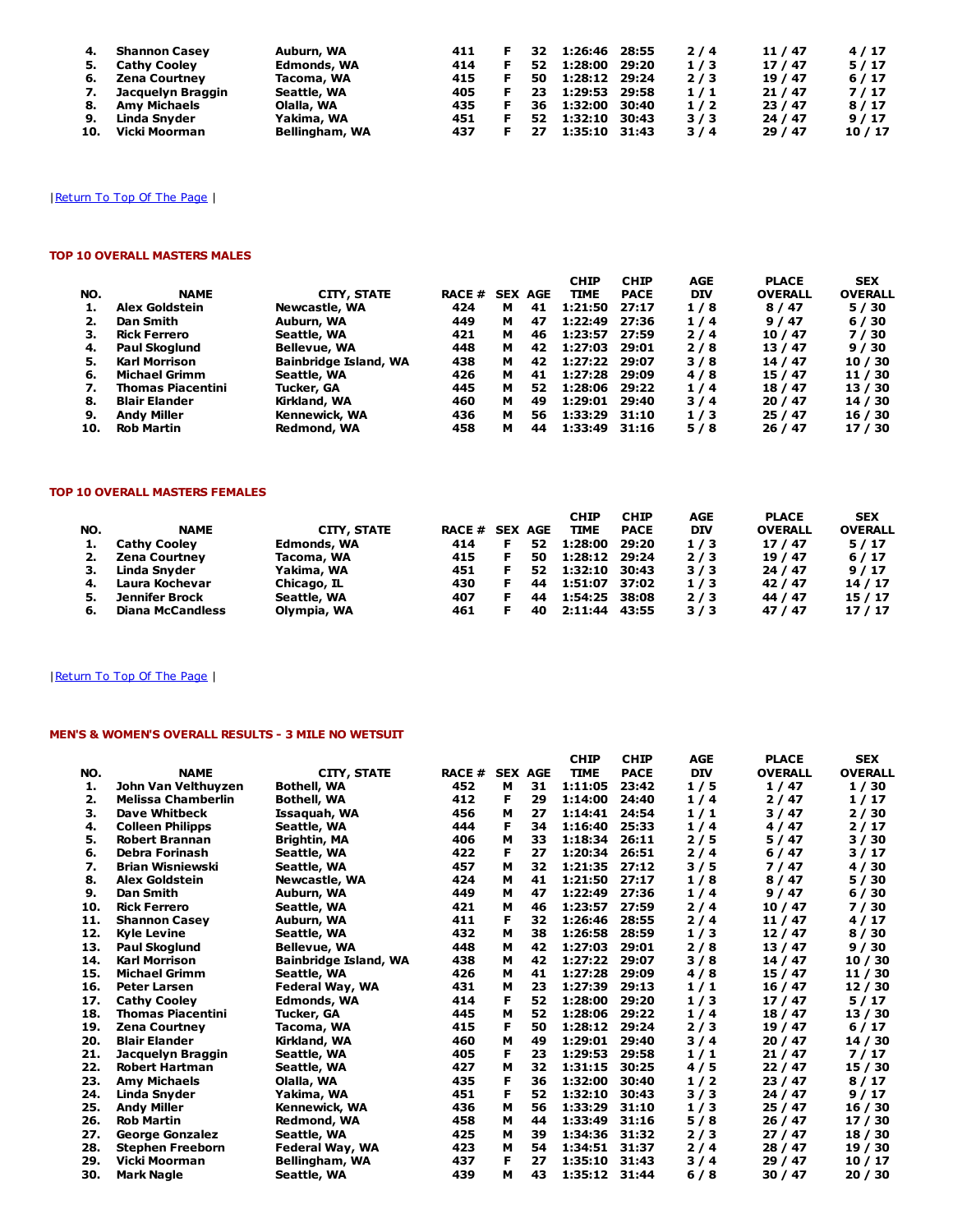| 4.  | <b>Shannon Casey</b> | Auburn, WA         | 411 | 32 | 1:26:46 28:55 |       | 2/4 | 11/47   | 4/17  |
|-----|----------------------|--------------------|-----|----|---------------|-------|-----|---------|-------|
| 5.  | <b>Cathy Cooley</b>  | <b>Edmonds, WA</b> | 414 | 52 | 1:28:00       | 29:20 | 1/3 | 17/47   | 5/17  |
| 6.  | Zena Courtney        | Tacoma, WA         | 415 | 50 | 1:28:12 29:24 |       | 2/3 | 19 / 47 | 6/17  |
| 7.  | Jacquelyn Braggin    | Seattle, WA        | 405 | 23 | 1:29:53 29:58 |       | 1/1 | 21/47   | 7/17  |
| 8.  | <b>Amy Michaels</b>  | Olalla, WA         | 435 | 36 | 1:32:00       | 30:40 | 1/2 | 23/47   | 8/17  |
| 9.  | Linda Snyder         | Yakima, WA         | 451 | 52 | 1:32:10       | 30:43 | 3/3 | 24/47   | 9/17  |
| 10. | Vicki Moorman        | Bellingham, WA     | 437 | 27 | 1:35:10 31:43 |       | 3/4 | 29/47   | 10/17 |

## | Return To Top Of The Page |

## TOP 10 OVERALL MASTERS MALES

| NO. | <b>NAME</b>              | <b>CITY, STATE</b>           | <b>RACE #</b> |   | <b>SEX AGE</b> | <b>CHIP</b><br><b>TIME</b> | <b>CHIP</b><br><b>PACE</b> | AGE<br><b>DIV</b> | <b>PLACE</b><br><b>OVERALL</b> | <b>SEX</b><br><b>OVERALL</b> |
|-----|--------------------------|------------------------------|---------------|---|----------------|----------------------------|----------------------------|-------------------|--------------------------------|------------------------------|
|     | <b>Alex Goldstein</b>    | Newcastle, WA                | 424           | м | 41             | 1:21:50                    | 27:17                      | 1/8               | 8/47                           | 5/30                         |
|     | Dan Smith                | Auburn, WA                   | 449           | м | 47             | 1:22:49                    | 27:36                      | 1/4               | 9/47                           | 6/30                         |
| з.  | <b>Rick Ferrero</b>      | Seattle, WA                  | 421           | м | 46             | 1:23:57                    | 27:59                      | 2/4               | 10/47                          | 7/30                         |
| 4.  | <b>Paul Skoglund</b>     | <b>Bellevue, WA</b>          | 448           | м | 42             | 1:27:03                    | 29:01                      | 2/8               | 13/47                          | 9/30                         |
| 5.  | <b>Karl Morrison</b>     | <b>Bainbridge Island, WA</b> | 438           | м | 42             | 1:27:22 29:07              |                            | 3/8               | 14 / 47                        | 10 / 30                      |
| 6.  | <b>Michael Grimm</b>     | Seattle, WA                  | 426           | м | 41             | 1:27:28 29:09              |                            | 4/8               | 15 / 47                        | 11 / 30                      |
| 7.  | <b>Thomas Piacentini</b> | Tucker, GA                   | 445           | м | 52.            | 1:28:06                    | 29:22                      | 1/4               | 18 / 47                        | 13 / 30                      |
| 8.  | <b>Blair Elander</b>     | Kirkland, WA                 | 460           | м | 49             | 1:29:01                    | 29:40                      | 3/4               | 20/47                          | 14 / 30                      |
| 9.  | <b>Andy Miller</b>       | Kennewick, WA                | 436           | м | 56             | 1:33:29                    | 31:10                      | 1/3               | 25/47                          | 16 / 30                      |
| 10. | <b>Rob Martin</b>        | Redmond, WA                  | 458           | м | 44             | 1:33:49                    | 31:16                      | 5/8               | 26 / 47                        | 17 / 30                      |

#### TOP 10 OVERALL MASTERS FEMALES

| NO. | <b>NAME</b>             | <b>CITY, STATE</b> | <b>RACE # SEX AGE</b> |     | <b>CHIP</b><br><b>TIME</b> | <b>CHIP</b><br><b>PACE</b> | AGE<br><b>DIV</b> | <b>PLACE</b><br><b>OVERALL</b> | <b>SEX</b><br><b>OVERALL</b> |
|-----|-------------------------|--------------------|-----------------------|-----|----------------------------|----------------------------|-------------------|--------------------------------|------------------------------|
|     | <b>Cathy Cooley</b>     | <b>Edmonds, WA</b> | 414                   | 52  | 1:28:00                    | 29:20                      | 1/3               | 17/47                          | 5/17                         |
| 2.  | Zena Courtney           | Tacoma, WA         | 415                   | 50  | 1:28:12 29:24              |                            | 2/3               | 19 / 47                        | 6/17                         |
|     | Linda Snyder            | Yakima, WA         | 451                   | 52. | 1:32:10                    | 30:43                      | 3/3               | 24 / 47                        | 9/17                         |
| 4.  | Laura Kochevar          | Chicago, IL        | 430                   | 44  | 1:51:07                    | 37:02                      | 1/3               | 42 / 47                        | 14/17                        |
| 5.  | Jennifer Brock          | Seattle, WA        | 407                   | 44  | 1:54:25                    | 38:08                      | 2/3               | 44 / 47                        | 15 / 17                      |
| 6.  | <b>Diana McCandless</b> | Olympia, WA        | 461                   | 40  | 2:11:44                    | 43:55                      | 3/3               | 47 / 47                        | 17/17                        |

## |Return To Top Of The Page |

## MEN'S & WOMEN'S OVERALL RESULTS - 3 MILE NO WETSUIT

|     |                           |                              |              |                |    | <b>CHIP</b> | <b>CHIP</b> | <b>AGE</b> | <b>PLACE</b>   | <b>SEX</b>     |
|-----|---------------------------|------------------------------|--------------|----------------|----|-------------|-------------|------------|----------------|----------------|
| NO. | <b>NAME</b>               | <b>CITY, STATE</b>           | <b>RACE#</b> | <b>SEX AGE</b> |    | <b>TIME</b> | <b>PACE</b> | <b>DIV</b> | <b>OVERALL</b> | <b>OVERALL</b> |
| 1.  | John Van Velthuyzen       | <b>Bothell, WA</b>           | 452          | м              | 31 | 1:11:05     | 23:42       | 1/5        | 1/47           | 1/30           |
| 2.  | <b>Melissa Chamberlin</b> | <b>Bothell, WA</b>           | 412          | F              | 29 | 1:14:00     | 24:40       | 1/4        | 2/47           | 1/17           |
| 3.  | <b>Dave Whitbeck</b>      | Issaquah, WA                 | 456          | M              | 27 | 1:14:41     | 24:54       | 1/1        | 3/47           | 2/30           |
| 4.  | <b>Colleen Philipps</b>   | Seattle, WA                  | 444          | F              | 34 | 1:16:40     | 25:33       | 1/4        | 4/47           | 2/17           |
| 5.  | <b>Robert Brannan</b>     | <b>Brightin, MA</b>          | 406          | м              | 33 | 1:18:34     | 26:11       | 2/5        | 5/47           | 3/30           |
| 6.  | Debra Forinash            | Seattle, WA                  | 422          | F              | 27 | 1:20:34     | 26:51       | 2/4        | 6/47           | 3/17           |
| 7.  | <b>Brian Wisniewski</b>   | Seattle, WA                  | 457          | м              | 32 | 1:21:35     | 27:12       | 3/5        | 7/47           | 4/30           |
| 8.  | <b>Alex Goldstein</b>     | Newcastle, WA                | 424          | М              | 41 | 1:21:50     | 27:17       | 1/8        | 8/47           | 5/30           |
| 9.  | <b>Dan Smith</b>          | Auburn, WA                   | 449          | м              | 47 | 1:22:49     | 27:36       | 1/4        | 9/47           | 6/30           |
| 10. | <b>Rick Ferrero</b>       | Seattle, WA                  | 421          | M              | 46 | 1:23:57     | 27:59       | 2/4        | 10/47          | 7/30           |
| 11. | <b>Shannon Casev</b>      | Auburn, WA                   | 411          | F              | 32 | 1:26:46     | 28:55       | 2/4        | 11/47          | 4/17           |
| 12. | <b>Kyle Levine</b>        | Seattle, WA                  | 432          | М              | 38 | 1:26:58     | 28:59       | 1/3        | 12/47          | 8/30           |
| 13. | <b>Paul Skoglund</b>      | <b>Bellevue, WA</b>          | 448          | м              | 42 | 1:27:03     | 29:01       | 2/8        | 13/47          | 9/30           |
| 14. | <b>Karl Morrison</b>      | <b>Bainbridge Island, WA</b> | 438          | M              | 42 | 1:27:22     | 29:07       | 3/8        | 14/47          | 10/30          |
| 15. | <b>Michael Grimm</b>      | Seattle, WA                  | 426          | м              | 41 | 1:27:28     | 29:09       | 4/8        | 15 / 47        | 11 / 30        |
| 16. | <b>Peter Larsen</b>       | Federal Way, WA              | 431          | м              | 23 | 1:27:39     | 29:13       | 1/1        | 16 / 47        | 12/30          |
| 17. | <b>Cathy Cooley</b>       | <b>Edmonds, WA</b>           | 414          | F              | 52 | 1:28:00     | 29:20       | 1/3        | 17/47          | 5/17           |
| 18. | <b>Thomas Piacentini</b>  | Tucker, GA                   | 445          | м              | 52 | 1:28:06     | 29:22       | 1/4        | 18 / 47        | 13 / 30        |
| 19. | <b>Zena Courtney</b>      | Tacoma, WA                   | 415          | F              | 50 | 1:28:12     | 29:24       | 2/3        | 19 / 47        | 6/17           |
| 20. | <b>Blair Elander</b>      | Kirkland, WA                 | 460          | м              | 49 | 1:29:01     | 29:40       | 3/4        | 20/47          | 14 / 30        |
| 21. | Jacquelyn Braggin         | Seattle, WA                  | 405          | F              | 23 | 1:29:53     | 29:58       | 1/1        | 21/47          | 7/17           |
| 22. | <b>Robert Hartman</b>     | Seattle, WA                  | 427          | М              | 32 | 1:31:15     | 30:25       | 4/5        | 22/47          | 15 / 30        |
| 23. | <b>Amy Michaels</b>       | Olalla, WA                   | 435          | F              | 36 | 1:32:00     | 30:40       | 1/2        | 23 / 47        | 8/17           |
| 24. | Linda Snyder              | Yakima, WA                   | 451          | F              | 52 | 1:32:10     | 30:43       | 3/3        | 24 / 47        | 9/17           |
| 25. | <b>Andy Miller</b>        | Kennewick, WA                | 436          | м              | 56 | 1:33:29     | 31:10       | 1/3        | 25/47          | 16/30          |
| 26. | <b>Rob Martin</b>         | <b>Redmond, WA</b>           | 458          | м              | 44 | 1:33:49     | 31:16       | 5/8        | 26 / 47        | 17 / 30        |
| 27. | <b>George Gonzalez</b>    | Seattle, WA                  | 425          | м              | 39 | 1:34:36     | 31:32       | 2/3        | 27/47          | 18 / 30        |
| 28. | <b>Stephen Freeborn</b>   | Federal Way, WA              | 423          | м              | 54 | 1:34:51     | 31:37       | 2/4        | 28 / 47        | 19 / 30        |
| 29. | Vicki Moorman             | Bellingham, WA               | 437          | F              | 27 | 1:35:10     | 31:43       | 3/4        | 29/47          | 10 / 17        |
| 30. | <b>Mark Nagle</b>         | Seattle, WA                  | 439          | М              | 43 | 1:35:12     | 31:44       | 6/8        | 30 / 47        | 20 / 30        |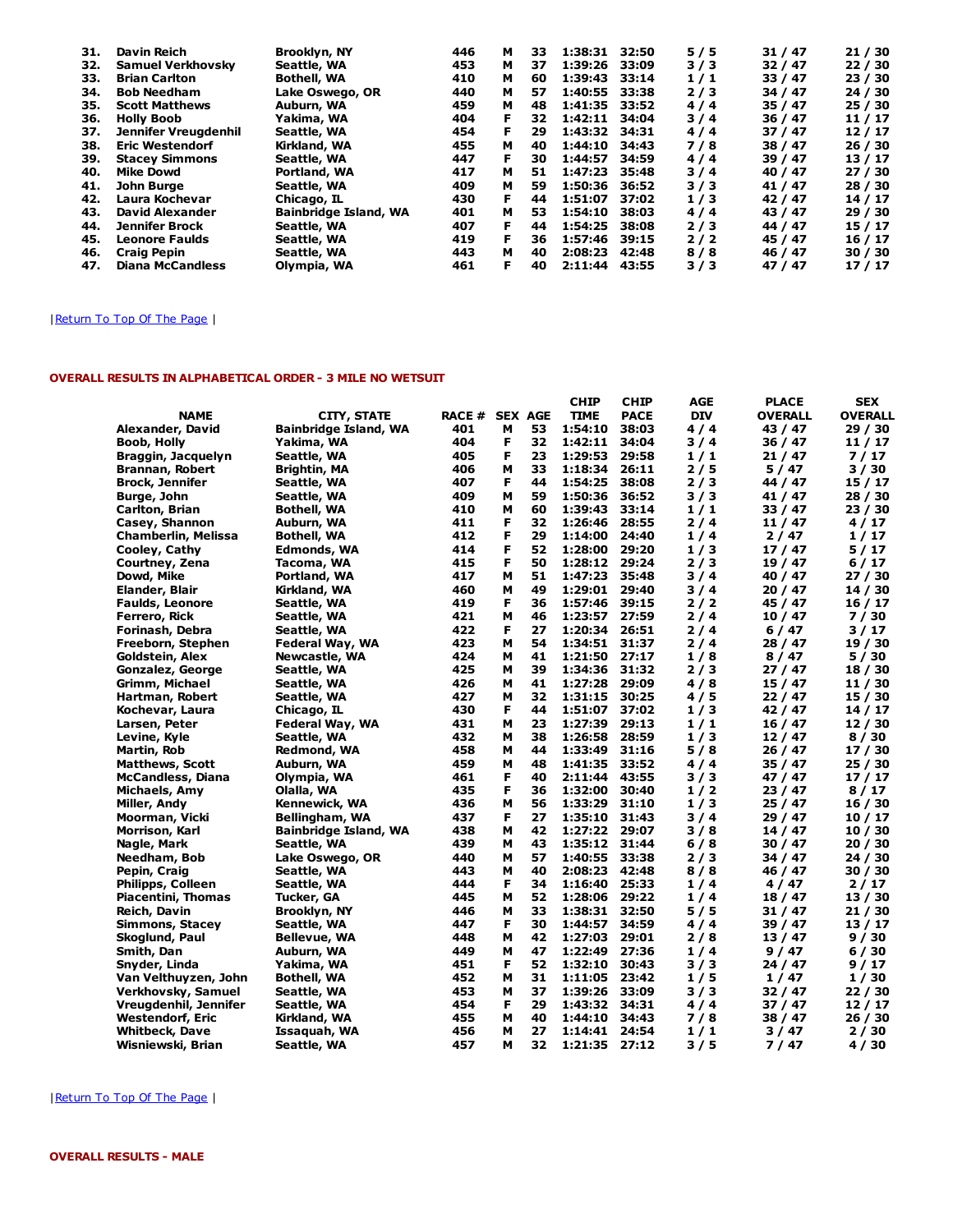| 31. | Davin Reich              | <b>Brooklyn, NY</b>   | 446 | м | 33 | 1:38:31 | 32:50 | 5/5 | 31/47   | 21/30   |
|-----|--------------------------|-----------------------|-----|---|----|---------|-------|-----|---------|---------|
| 32. | <b>Samuel Verkhovsky</b> | Seattle, WA           | 453 | м | 37 | 1:39:26 | 33:09 | 3/3 | 32/47   | 22/30   |
| 33. | <b>Brian Carlton</b>     | <b>Bothell, WA</b>    | 410 | м | 60 | 1:39:43 | 33:14 | 1/1 | 33/47   | 23/30   |
| 34. | <b>Bob Needham</b>       | Lake Oswego, OR       | 440 | м | 57 | 1:40:55 | 33:38 | 2/3 | 34 / 47 | 24 / 30 |
| 35. | <b>Scott Matthews</b>    | Auburn, WA            | 459 | м | 48 | 1:41:35 | 33:52 | 4/4 | 35/47   | 25/30   |
| 36. | <b>Holly Boob</b>        | Yakima, WA            | 404 | F | 32 | 1:42:11 | 34:04 | 3/4 | 36/47   | 11/17   |
| 37. | Jennifer Vreugdenhil     | Seattle, WA           | 454 | F | 29 | 1:43:32 | 34:31 | 4/4 | 37/47   | 12/17   |
| 38. | <b>Eric Westendorf</b>   | Kirkland, WA          | 455 | м | 40 | 1:44:10 | 34:43 | 7/8 | 38 / 47 | 26/30   |
| 39. | <b>Stacey Simmons</b>    | Seattle, WA           | 447 | F | 30 | 1:44:57 | 34:59 | 4/4 | 39/47   | 13/17   |
| 40. | <b>Mike Dowd</b>         | Portland, WA          | 417 | м | 51 | 1:47:23 | 35:48 | 3/4 | 40 / 47 | 27/30   |
| 41. | John Burge               | Seattle, WA           | 409 | м | 59 | 1:50:36 | 36:52 | 3/3 | 41/47   | 28/30   |
| 42. | Laura Kochevar           | Chicago, IL           | 430 | F | 44 | 1:51:07 | 37:02 | 1/3 | 42 / 47 | 14/17   |
| 43. | David Alexander          | Bainbridge Island, WA | 401 | м | 53 | 1:54:10 | 38:03 | 4/4 | 43 / 47 | 29/30   |
| 44. | <b>Jennifer Brock</b>    | Seattle, WA           | 407 | Е | 44 | 1:54:25 | 38:08 | 2/3 | 44 / 47 | 15 / 17 |
| 45. | <b>Leonore Faulds</b>    | Seattle, WA           | 419 | F | 36 | 1:57:46 | 39:15 | 2/2 | 45 / 47 | 16/17   |
| 46. | <b>Craig Pepin</b>       | Seattle, WA           | 443 | м | 40 | 2:08:23 | 42:48 | 8/8 | 46 / 47 | 30/30   |
| 47. | <b>Diana McCandless</b>  | Olympia, WA           | 461 | F | 40 | 2:11:44 | 43:55 | 3/3 | 47/47   | 17/17   |

## |Return To Top Of The Page |

## OVERALL RESULTS IN ALPHABETICAL ORDER - 3 MILE NO WETSUIT

|                            |                              |        |                |    | <b>CHIP</b>   | <b>CHIP</b> | AGE        | <b>PLACE</b>   | <b>SEX</b>     |
|----------------------------|------------------------------|--------|----------------|----|---------------|-------------|------------|----------------|----------------|
| <b>NAME</b>                | <b>CITY, STATE</b>           | RACE # | <b>SEX AGE</b> |    | <b>TIME</b>   | <b>PACE</b> | <b>DIV</b> | <b>OVERALL</b> | <b>OVERALL</b> |
| Alexander, David           | <b>Bainbridge Island, WA</b> | 401    | м              | 53 | 1:54:10       | 38:03       | 4/4        | 43 / 47        | 29 / 30        |
| Boob, Holly                | Yakima, WA                   | 404    | F              | 32 | 1:42:11       | 34:04       | 3/4        | 36 / 47        | 11 / 17        |
| Braggin, Jacquelyn         | Seattle, WA                  | 405    | F              | 23 | 1:29:53       | 29:58       | 1/1        | 21 / 47        | 7/17           |
| Brannan, Robert            | <b>Brightin, MA</b>          | 406    | м              | 33 | 1:18:34       | 26:11       | 2 / 5      | 5 / 47         | 3/30           |
| <b>Brock, Jennifer</b>     | Seattle, WA                  | 407    | F              | 44 | 1:54:25       | 38:08       | 2/3        | 44 / 47        | 15 / 17        |
| Burge, John                | Seattle, WA                  | 409    | м              | 59 | 1:50:36       | 36:52       | 3/3        | 41 / 47        | 28 / 30        |
| Carlton, Brian             | <b>Bothell, WA</b>           | 410    | м              | 60 | 1:39:43       | 33:14       | 1/1        | 33/47          | 23 / 30        |
| Casey, Shannon             | Auburn, WA                   | 411    | F              | 32 | 1:26:46       | 28:55       | 2/4        | 11 / 47        | 4/17           |
| <b>Chamberlin, Melissa</b> | <b>Bothell, WA</b>           | 412    | F              | 29 | 1:14:00       | 24:40       | 1/4        | 2 / 47         | 1/17           |
| Cooley, Cathy              | Edmonds, WA                  | 414    | F              | 52 | 1:28:00       | 29:20       | 1/3        | 17 / 47        | 5/17           |
| Courtney, Zena             | Tacoma, WA                   | 415    | F              | 50 | 1:28:12       | 29:24       | 2/3        | 19 / 47        | 6/17           |
| Dowd, Mike                 | Portland, WA                 | 417    | м              | 51 | 1:47:23       | 35:48       | 3/4        | 40 / 47        | 27 / 30        |
| Elander, Blair             | Kirkland, WA                 | 460    | м              | 49 | 1:29:01       | 29:40       | 3 / 4      | 20 / 47        | 14 / 30        |
| <b>Faulds, Leonore</b>     | Seattle, WA                  | 419    | F              | 36 | 1:57:46       | 39:15       | 2/2        | 45 / 47        | 16 / 17        |
| Ferrero, Rick              | Seattle, WA                  | 421    | м              | 46 | 1:23:57       | 27:59       | 2/4        | 10 / 47        | 7/30           |
| Forinash, Debra            | Seattle, WA                  | 422    | F              | 27 | 1:20:34 26:51 |             | 2/4        | 6/47           | 3/17           |
| Freeborn, Stephen          | Federal Way, WA              | 423    | м              | 54 | 1:34:51       | 31:37       | 2/4        | 28 / 47        | 19 / 30        |
| Goldstein, Alex            | Newcastle, WA                | 424    | м              | 41 | 1:21:50       | 27:17       | 1/8        | 8/47           | 5/30           |
| Gonzalez, George           | Seattle, WA                  | 425    | м              | 39 | 1:34:36       | 31:32       | 2/3        | 27 / 47        | 18 / 30        |
| Grimm, Michael             | Seattle, WA                  | 426    | м              | 41 | 1:27:28       | 29:09       | 4/8        | 15 / 47        | 11 / 30        |
| Hartman, Robert            | Seattle, WA                  | 427    | м              | 32 | 1:31:15       | 30:25       | 4/5        | 22 / 47        | 15 / 30        |
| Kochevar, Laura            | Chicago, IL                  | 430    | F              | 44 | 1:51:07       | 37:02       | 1/3        | 42 / 47        | 14 / 17        |
| Larsen, Peter              | Federal Way, WA              | 431    | м              | 23 | 1:27:39       | 29:13       | 1/1        | 16 / 47        | 12/30          |
| Levine, Kyle               | Seattle, WA                  | 432    | м              | 38 | 1:26:58       | 28:59       | 1/3        | 12/47          | 8/30           |
| Martin, Rob                | Redmond, WA                  | 458    | м              | 44 | 1:33:49       | 31:16       | 5/8        | 26 / 47        | 17 / 30        |
| <b>Matthews, Scott</b>     | Auburn, WA                   | 459    | м              | 48 | 1:41:35       | 33:52       | 4 / 4      | 35 / 47        | 25 / 30        |
| <b>McCandless, Diana</b>   | Olympia, WA                  | 461    | F              | 40 | 2:11:44 43:55 |             | 3/3        | 47 / 47        | 17 / 17        |
| Michaels, Amy              | Olalla, WA                   | 435    | F              | 36 | 1:32:00       | 30:40       | 1/2        | 23 / 47        | 8/17           |
| Miller, Andy               | Kennewick, WA                | 436    | м              | 56 | 1:33:29       | 31:10       | 1/3        | 25 / 47        | 16 / 30        |
| Moorman, Vicki             | Bellingham, WA               | 437    | F              | 27 | 1:35:10       | 31:43       | 3/4        | 29 / 47        | 10 / 17        |
| Morrison, Karl             | <b>Bainbridge Island, WA</b> | 438    | м              | 42 | 1:27:22 29:07 |             | 3/8        | 14/47          | 10 / 30        |
| Nagle, Mark                | Seattle, WA                  | 439    | м              | 43 | 1:35:12       | 31:44       | 6/8        | 30 / 47        | 20 / 30        |
| Needham, Bob               | Lake Oswego, OR              | 440    | м              | 57 | 1:40:55       | 33:38       | 2/3        | 34 / 47        | 24 / 30        |
| Pepin, Craig               | Seattle, WA                  | 443    | м              | 40 | 2:08:23       | 42:48       | 8/8        | 46 / 47        | 30 / 30        |
| Philipps, Colleen          | Seattle, WA                  | 444    | F              | 34 | 1:16:40       | 25:33       | 1/4        | 4/47           | 2/17           |
| <b>Piacentini, Thomas</b>  | Tucker, GA                   | 445    | м              | 52 | 1:28:06       | 29:22       | 1/4        | 18 / 47        | 13 / 30        |
| Reich, Davin               | Brooklyn, NY                 | 446    | м              | 33 | 1:38:31       | 32:50       | 5/5        | 31 / 47        | 21 / 30        |
| <b>Simmons, Stacey</b>     | Seattle, WA                  | 447    | F              | 30 | 1:44:57       | 34:59       | 4 / 4      | 39 / 47        | 13 / 17        |
| Skoglund, Paul             | <b>Bellevue, WA</b>          | 448    | м              | 42 | 1:27:03       | 29:01       | 2/8        | 13/47          | 9/30           |
| Smith, Dan                 | Auburn, WA                   | 449    | м              | 47 | 1:22:49       | 27:36       | 1/4        | 9/47           | 6/30           |
| Snyder, Linda              | Yakima, WA                   | 451    | F              | 52 | 1:32:10       | 30:43       | 3/3        | 24 / 47        | 9/17           |
| Van Velthuyzen, John       | <b>Bothell, WA</b>           | 452    | м              | 31 | 1:11:05       | 23:42       | 1/5        | 1/47           | 1/30           |
| Verkhovsky, Samuel         | Seattle, WA                  | 453    | м              | 37 | 1:39:26       | 33:09       | 3/3        | 32 / 47        | 22 / 30        |
| Vreugdenhil, Jennifer      | Seattle, WA                  | 454    | F              | 29 | 1:43:32       | 34:31       | 4/4        | 37 / 47        | 12/17          |
| <b>Westendorf, Eric</b>    | Kirkland, WA                 | 455    | м              | 40 | 1:44:10       | 34:43       | 7 / 8      | 38 / 47        | 26 / 30        |
| <b>Whitbeck, Dave</b>      | Issaquah, WA                 | 456    | м              | 27 | 1:14:41       | 24:54       | 1/1        | 3/47           | 2/30           |
| Wisniewski, Brian          | Seattle, WA                  | 457    | м              | 32 | 1:21:35       | 27:12       | 3 / 5      | 7 / 47         | 4/30           |

## | Return To Top Of The Page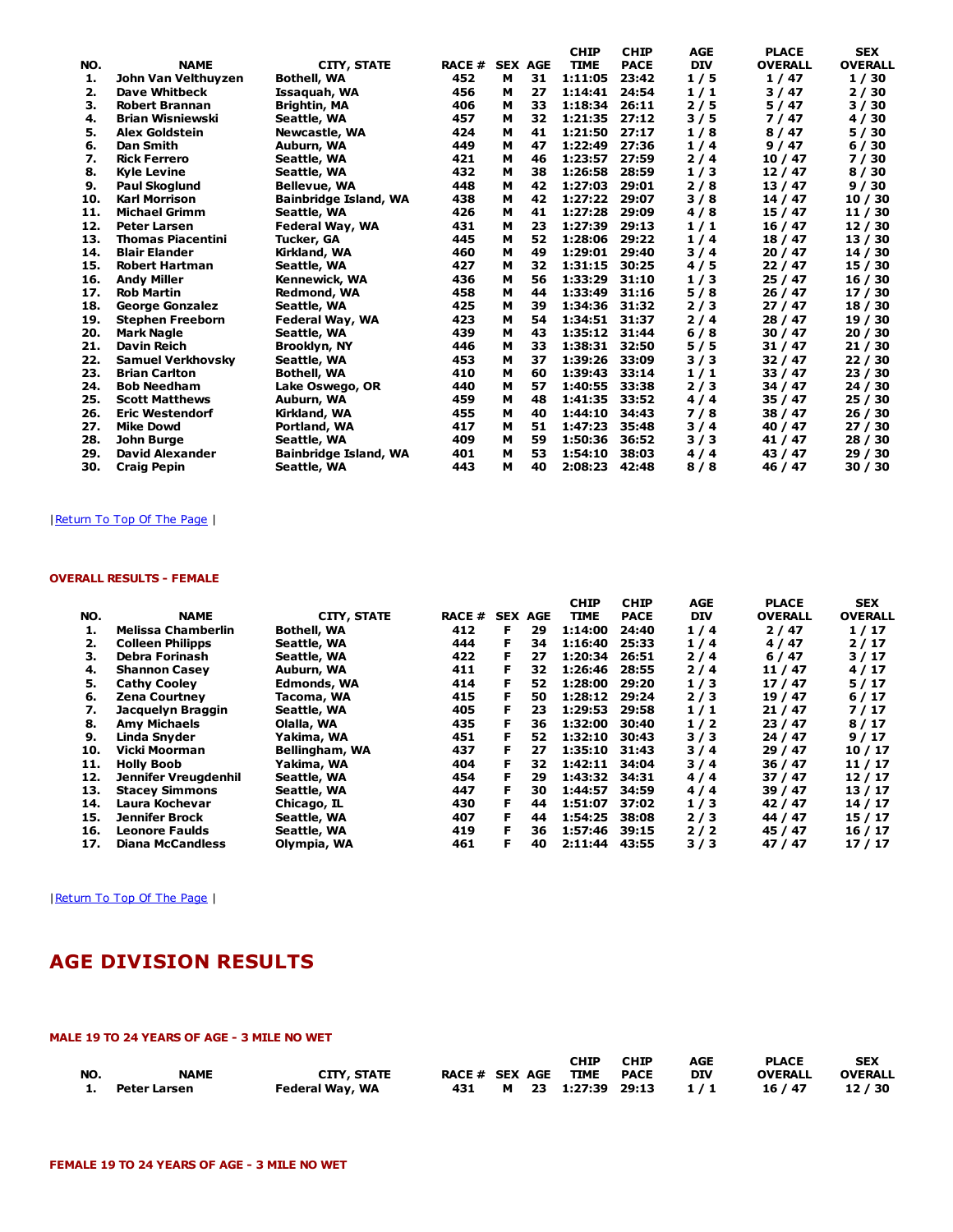|     |                          |                              |               |                |    | <b>CHIP</b> | <b>CHIP</b> | <b>AGE</b> | <b>PLACE</b>   | <b>SEX</b>     |
|-----|--------------------------|------------------------------|---------------|----------------|----|-------------|-------------|------------|----------------|----------------|
| NO. | <b>NAME</b>              | <b>CITY, STATE</b>           | <b>RACE #</b> | <b>SEX AGE</b> |    | <b>TIME</b> | <b>PACE</b> | <b>DIV</b> | <b>OVERALL</b> | <b>OVERALL</b> |
| 1.  | John Van Velthuyzen      | <b>Bothell, WA</b>           | 452           | м              | 31 | 1:11:05     | 23:42       | 1/5        | 1/47           | 1/30           |
| 2.  | Dave Whitbeck            | Issaquah, WA                 | 456           | м              | 27 | 1:14:41     | 24:54       | 1/1        | 3/47           | 2/30           |
| з.  | <b>Robert Brannan</b>    | <b>Brightin, MA</b>          | 406           | м              | 33 | 1:18:34     | 26:11       | 2/5        | 5/47           | 3 / 30         |
| 4.  | <b>Brian Wisniewski</b>  | Seattle, WA                  | 457           | м              | 32 | 1:21:35     | 27:12       | 3 / 5      | 7/47           | 4/30           |
| 5.  | <b>Alex Goldstein</b>    | Newcastle, WA                | 424           | м              | 41 | 1:21:50     | 27:17       | 1/8        | 8/47           | 5/30           |
| 6.  | <b>Dan Smith</b>         | Auburn, WA                   | 449           | м              | 47 | 1:22:49     | 27:36       | 1/4        | 9/47           | 6/30           |
| 7.  | <b>Rick Ferrero</b>      | Seattle, WA                  | 421           | м              | 46 | 1:23:57     | 27:59       | 2/4        | 10/47          | 7/30           |
| 8.  | <b>Kyle Levine</b>       | Seattle, WA                  | 432           | м              | 38 | 1:26:58     | 28:59       | 1/3        | 12/47          | 8/30           |
| 9.  | <b>Paul Skoglund</b>     | <b>Bellevue, WA</b>          | 448           | м              | 42 | 1:27:03     | 29:01       | 2/8        | 13/47          | 9/30           |
| 10. | <b>Karl Morrison</b>     | <b>Bainbridge Island, WA</b> | 438           | м              | 42 | 1:27:22     | 29:07       | 3/8        | 14 / 47        | 10/30          |
| 11. | <b>Michael Grimm</b>     | Seattle, WA                  | 426           | м              | 41 | 1:27:28     | 29:09       | 4/8        | 15 / 47        | 11/30          |
| 12. | <b>Peter Larsen</b>      | Federal Way, WA              | 431           | м              | 23 | 1:27:39     | 29:13       | 1/1        | 16/47          | 12/30          |
| 13. | <b>Thomas Piacentini</b> | Tucker, GA                   | 445           | м              | 52 | 1:28:06     | 29:22       | 1/4        | 18 / 47        | 13 / 30        |
| 14. | <b>Blair Elander</b>     | Kirkland, WA                 | 460           | м              | 49 | 1:29:01     | 29:40       | 3 / 4      | 20/47          | 14 / 30        |
| 15. | <b>Robert Hartman</b>    | Seattle, WA                  | 427           | м              | 32 | 1:31:15     | 30:25       | 4/5        | 22/47          | 15 / 30        |
| 16. | <b>Andy Miller</b>       | Kennewick, WA                | 436           | м              | 56 | 1:33:29     | 31:10       | 1/3        | 25/47          | 16 / 30        |
| 17. | <b>Rob Martin</b>        | <b>Redmond, WA</b>           | 458           | м              | 44 | 1:33:49     | 31:16       | 5/8        | 26/47          | 17 / 30        |
| 18. | <b>George Gonzalez</b>   | Seattle, WA                  | 425           | м              | 39 | 1:34:36     | 31:32       | 2/3        | 27/47          | 18 / 30        |
| 19. | <b>Stephen Freeborn</b>  | Federal Way, WA              | 423           | м              | 54 | 1:34:51     | 31:37       | 2/4        | 28/47          | 19 / 30        |
| 20. | <b>Mark Nagle</b>        | Seattle, WA                  | 439           | м              | 43 | 1:35:12     | 31:44       | 6/8        | 30/47          | 20/30          |
| 21. | Davin Reich              | Brooklyn, NY                 | 446           | м              | 33 | 1:38:31     | 32:50       | 5/5        | 31/47          | 21/30          |
| 22. | <b>Samuel Verkhovsky</b> | Seattle, WA                  | 453           | м              | 37 | 1:39:26     | 33:09       | 3/3        | 32/47          | 22/30          |
| 23. | <b>Brian Carlton</b>     | <b>Bothell, WA</b>           | 410           | м              | 60 | 1:39:43     | 33:14       | 1/1        | 33 / 47        | 23/30          |
| 24. | <b>Bob Needham</b>       | Lake Oswego, OR              | 440           | м              | 57 | 1:40:55     | 33:38       | 2/3        | 34 / 47        | 24 / 30        |
| 25. | <b>Scott Matthews</b>    | Auburn, WA                   | 459           | м              | 48 | 1:41:35     | 33:52       | 4/4        | 35/47          | 25/30          |
| 26. | <b>Eric Westendorf</b>   | Kirkland, WA                 | 455           | м              | 40 | 1:44:10     | 34:43       | 7/8        | 38 / 47        | 26/30          |
| 27. | <b>Mike Dowd</b>         | Portland, WA                 | 417           | м              | 51 | 1:47:23     | 35:48       | 3/4        | 40 / 47        | 27/30          |
| 28. | John Burge               | Seattle, WA                  | 409           | м              | 59 | 1:50:36     | 36:52       | 3/3        | 41 / 47        | 28 / 30        |
| 29. | <b>David Alexander</b>   | <b>Bainbridge Island, WA</b> | 401           | м              | 53 | 1:54:10     | 38:03       | 4/4        | 43 / 47        | 29/30          |
| 30. | <b>Craig Pepin</b>       | Seattle, WA                  | 443           | м              | 40 | 2:08:23     | 42:48       | 8/8        | 46 / 47        | 30/30          |

## | Return To Top Of The Page |

## OVERALL RESULTS - FEMALE

|     |                         |                    |        |   |                | <b>CHIP</b> | <b>CHIP</b> | <b>AGE</b> | <b>PLACE</b>   | <b>SEX</b>     |
|-----|-------------------------|--------------------|--------|---|----------------|-------------|-------------|------------|----------------|----------------|
| NO. | <b>NAME</b>             | <b>CITY, STATE</b> | RACE # |   | <b>SEX AGE</b> | <b>TIME</b> | <b>PACE</b> | <b>DIV</b> | <b>OVERALL</b> | <b>OVERALL</b> |
| 1.  | Melissa Chamberlin      | <b>Bothell, WA</b> | 412    | F | 29             | 1:14:00     | 24:40       | 1/4        | 2/47           | 1/17           |
| 2.  | <b>Colleen Philipps</b> | Seattle, WA        | 444    |   | 34             | 1:16:40     | 25:33       | 1/4        | 4/47           | 2/17           |
| з.  | Debra Forinash          | Seattle, WA        | 422    |   | 27             | 1:20:34     | 26:51       | 2/4        | 6/47           | 3/17           |
| 4.  | <b>Shannon Casey</b>    | Auburn, WA         | 411    |   | 32             | 1:26:46     | 28:55       | 2/4        | 11 / 47        | 4/17           |
| 5.  | <b>Cathy Cooley</b>     | Edmonds, WA        | 414    |   | 52             | 1:28:00     | 29:20       | 1/3        | 17/47          | 5/17           |
| 6.  | <b>Zena Courtney</b>    | Tacoma, WA         | 415    |   | 50             | 1:28:12     | 29:24       | 2/3        | 19 / 47        | 6/17           |
| 7.  | Jacquelyn Braggin       | Seattle, WA        | 405    |   | 23             | 1:29:53     | 29:58       | 1/1        | 21/47          | 7/17           |
| 8.  | <b>Amy Michaels</b>     | Olalla, WA         | 435    |   | 36             | 1:32:00     | 30:40       | 1/2        | 23/47          | 8/17           |
| 9.  | Linda Snyder            | Yakima, WA         | 451    |   | 52             | 1:32:10     | 30:43       | 3/3        | 24/47          | 9/17           |
| 10. | Vicki Moorman           | Bellingham, WA     | 437    |   | 27             | 1:35:10     | 31:43       | 3/4        | 29/47          | 10/17          |
| 11. | <b>Holly Boob</b>       | Yakima, WA         | 404    |   | 32             | 1:42:11     | 34:04       | 3/4        | 36/47          | 11/17          |
| 12. | Jennifer Vreugdenhil    | Seattle, WA        | 454    |   | 29             | 1:43:32     | 34:31       | 4/4        | 37/47          | 12/17          |
| 13. | <b>Stacey Simmons</b>   | Seattle, WA        | 447    |   | 30             | 1:44:57     | 34:59       | 4/4        | 39 / 47        | 13/17          |
| 14. | Laura Kochevar          | Chicago, IL        | 430    |   | 44             | 1:51:07     | 37:02       | 1/3        | 42 / 47        | 14/17          |
| 15. | Jennifer Brock          | Seattle, WA        | 407    |   | 44             | 1:54:25     | 38:08       | 2/3        | 44 / 47        | 15/17          |
| 16. | <b>Leonore Faulds</b>   | Seattle, WA        | 419    |   | 36             | 1:57:46     | 39:15       | 2/2        | 45 / 47        | 16/17          |
| 17. | Diana McCandless        | Olympia, WA        | 461    |   | 40             | 2:11:44     | 43:55       | 3/3        | 47 / 47        | 17/17          |

| Return To Top Of The Page |

# AGE DIVISION RESULTS

## MALE 19 TO 24 YEARS OF AGE - 3 MILE NO WET

|     |              |                    |                |  | <b>CHIP</b>            | <b>CHIP</b> | <b>AGE</b> | <b>PLACE</b>   | <b>SEX</b>     |
|-----|--------------|--------------------|----------------|--|------------------------|-------------|------------|----------------|----------------|
| NO. | <b>NAME</b>  | <b>CITY, STATE</b> | RACE # SEX AGE |  | TIME                   | PACE        | <b>DIV</b> | <b>OVERALL</b> | <b>OVERALL</b> |
| 1.  | Peter Larsen | Federal Way, WA    |                |  | 431 M 23 1:27:39 29:13 |             | 1/1        | 16 / 47        | 12/30          |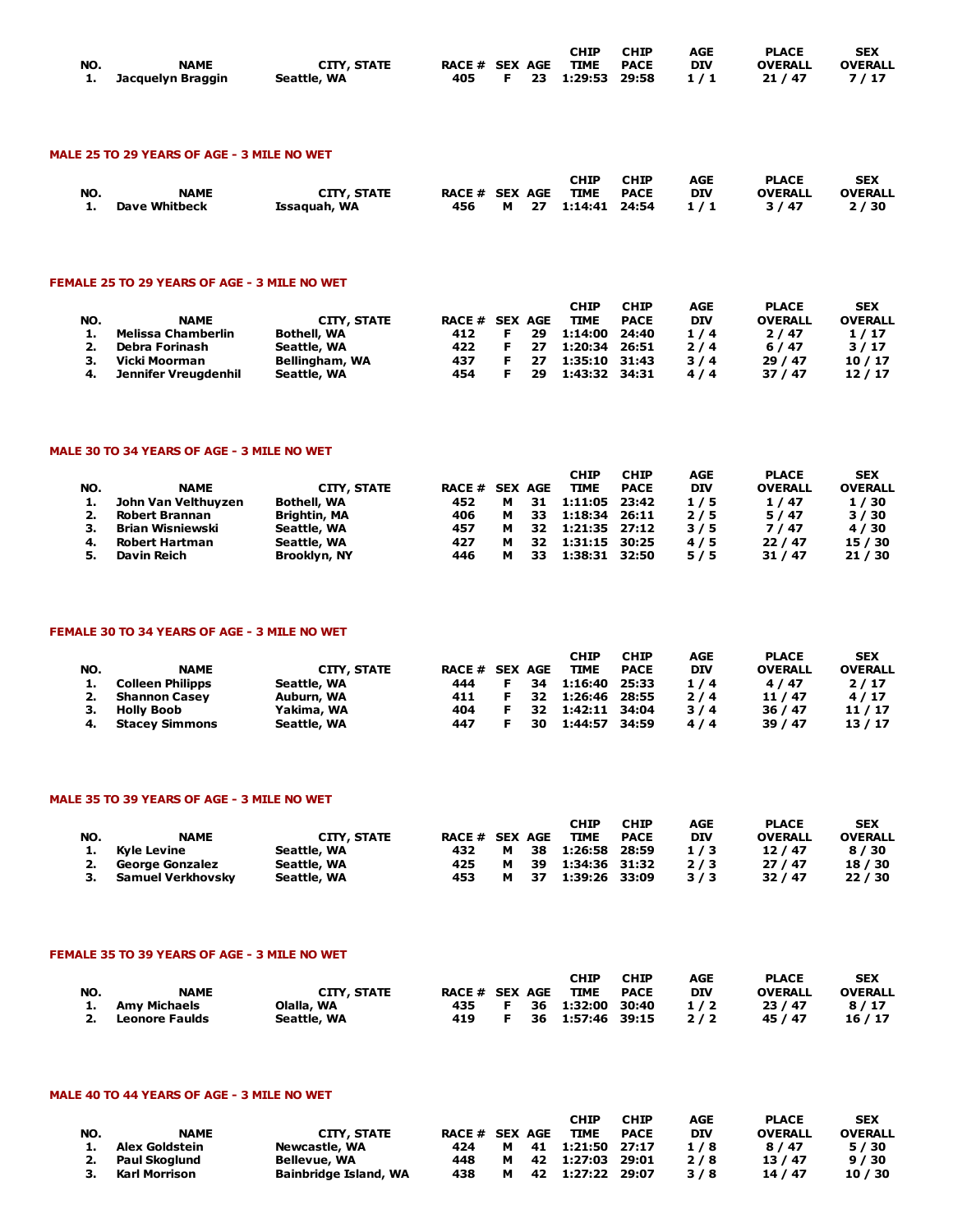|     |                      |                    |                |  | <b>CHIP</b>            | <b>CHIP</b> | AGE | <b>PLACE</b>   | <b>SEX</b>     |
|-----|----------------------|--------------------|----------------|--|------------------------|-------------|-----|----------------|----------------|
| NO. | <b>NAME</b>          | <b>CITY, STATE</b> | RACE # SEX AGE |  | <b>TIME PACE</b>       |             | DIV | <b>OVERALL</b> | <b>OVERALL</b> |
|     | 1. Jacquelyn Braggin | Seattle, WA        |                |  | 405 F 23 1:29:53 29:58 |             | 1/1 | 21 / 47        | 7/17           |

## MALE 25 TO 29 YEARS OF AGE - 3 MILE NO WET

| NO. | <b>NAME</b>          | <b>CITY, STATE</b> | RACE # SEX AGE |  | <b>CHIP</b><br><b>TIME</b> | <b>CHIP</b><br><b>PACE</b> | AGE<br><b>DIV</b> | <b>PLACE</b><br><b>OVERALL</b> | <b>SEX</b><br><b>OVERALL</b> |
|-----|----------------------|--------------------|----------------|--|----------------------------|----------------------------|-------------------|--------------------------------|------------------------------|
| 1.  | <b>Dave Whitbeck</b> | Issaquah, WA       | 456            |  | M 27 1:14:41 24:54         |                            | 1/1               | 3/47                           | 2/30                         |

## FEMALE 25 TO 29 YEARS OF AGE - 3 MILE NO WET

| NO. | <b>NAME</b>          | CITY, STATE        | <b>RACE # SEX AGE</b> |    | <b>CHIP</b><br><b>TIME</b> | <b>CHIP</b><br><b>PACE</b> | AGE<br><b>DIV</b> | <b>PLACE</b><br><b>OVERALL</b> | <b>SEX</b><br><b>OVERALL</b> |
|-----|----------------------|--------------------|-----------------------|----|----------------------------|----------------------------|-------------------|--------------------------------|------------------------------|
|     | Melissa Chamberlin   | <b>Bothell, WA</b> | 412                   | 29 | 1:14:00 24:40              |                            | 1/4               | 2/47                           | 1/17                         |
|     | Debra Forinash       | Seattle, WA        | 422                   | 27 | 1:20:34 26:51              |                            | 2/4               | 6/47                           | 3/17                         |
|     | Vicki Moorman        | Bellingham, WA     | 437                   | 27 | 1:35:10 31:43              |                            | 3/4               | 29/47                          | 10/17                        |
|     | Jennifer Vreugdenhil | Seattle, WA        | 454                   | 29 | 1:43:32 34:31              |                            | 4/4               | 37/47                          | 12/17                        |

#### MALE 30 TO 34 YEARS OF AGE - 3 MILE NO WET

|     |                     |                    |                |   |    | <b>CHIP</b>   | <b>CHIP</b> | AGE        | <b>PLACE</b>   | <b>SEX</b>     |
|-----|---------------------|--------------------|----------------|---|----|---------------|-------------|------------|----------------|----------------|
| NO. | <b>NAME</b>         | CITY, STATE        | RACE # SEX AGE |   |    | <b>TIME</b>   | <b>PACE</b> | <b>DIV</b> | <b>OVERALL</b> | <b>OVERALL</b> |
| 1.  | John Van Velthuyzen | <b>Bothell, WA</b> | 452            | м | 31 | 1:11:05 23:42 |             | 1/5        | 1/47           | 1/30           |
| 2.  | Robert Brannan      | Brightin, MA       | 406            | м | 33 | 1:18:34 26:11 |             | 2/5        | 5/47           | 3/30           |
|     | Brian Wisniewski    | Seattle, WA        | 457            | м | 32 | 1:21:35 27:12 |             | 3/5        | 7/47           | 4/30           |
|     | Robert Hartman      | Seattle, WA        | 427            |   | 32 | 1:31:15 30:25 |             | 4/5        | 22/47          | 15 / 30        |
|     | Davin Reich         | Brooklyn, NY       | 446            | м | 33 | 1:38:31 32:50 |             | 5/5        | 31/47          | 21/30          |

## FEMALE 30 TO 34 YEARS OF AGE - 3 MILE NO WET

| NO. | <b>NAME</b>             | CITY, STATE | <b>RACE # SEX AGE</b> |    |    | CHIP<br><b>TIME</b> | <b>CHIP</b><br><b>PACE</b> | AGE<br><b>DIV</b> | <b>PLACE</b><br><b>OVERALL</b> | <b>SEX</b><br><b>OVERALL</b> |
|-----|-------------------------|-------------|-----------------------|----|----|---------------------|----------------------------|-------------------|--------------------------------|------------------------------|
| 1.  | <b>Colleen Philipps</b> | Seattle, WA | 444                   | F. | 34 | 1:16:40 25:33       |                            | 1/4               | 4/47                           | 2/17                         |
| 2.  | <b>Shannon Casey</b>    | Auburn, WA  | 411                   | F. | 32 | 1:26:46 28:55       |                            | $2/4$             | 11/47                          | 4/17                         |
| з.  | <b>Holly Boob</b>       | Yakima, WA  | 404                   |    | 32 | 1:42:11 34:04       |                            | 3/4               | 36/47                          | 11/17                        |
|     | <b>Stacey Simmons</b>   | Seattle, WA | 447                   |    | 30 | 1:44:57             | 34:59                      | 4/4               | 39/47                          | 13/17                        |

#### MALE 35 TO 39 YEARS OF AGE - 3 MILE NO WET

|     |                      |                    |                |   |     | <b>CHIP</b>   | <b>CHIP</b> | AGE | <b>PLACE</b>   | <b>SEX</b>     |
|-----|----------------------|--------------------|----------------|---|-----|---------------|-------------|-----|----------------|----------------|
| NO. | <b>NAME</b>          | <b>CITY, STATE</b> | RACE # SEX AGE |   |     | <b>TIME</b>   | <b>PACE</b> | DIV | <b>OVERALL</b> | <b>OVERALL</b> |
|     | Kvle Levine          | Seattle, WA        | 432            | м | -38 | 1:26:58 28:59 |             | 1/3 | 12/47          | 8/30           |
|     | 2. George Gonzalez   | Seattle, WA        | 425            | м | -39 | 1:34:36 31:32 |             | 2/3 | 27/47          | 18 / 30        |
|     | 3. Samuel Verkhovsky | Seattle, WA        | 453            | м | -37 | 1:39:26 33:09 |             | 3/3 | 32/47          | 22/30          |

## FEMALE 35 TO 39 YEARS OF AGE - 3 MILE NO WET

| NO. | <b>NAME</b>       | <b>CITY, STATE</b> | RACE # SEX AGE |    | <b>CHIP</b><br>TIME | <b>CHIP</b><br><b>PACE</b> | AGE<br>DIV | <b>PLACE</b><br><b>OVERALL</b> | <b>SEX</b><br><b>OVERALL</b> |
|-----|-------------------|--------------------|----------------|----|---------------------|----------------------------|------------|--------------------------------|------------------------------|
|     | 1. Amy Michaels   | Olalla, WA         | 435 —          | E. | 36 1:32:00 30:40    |                            | 1/2        | 23 / 47                        | 8/17                         |
|     | 2. Leonore Faulds | Seattle, WA        | 419            |    | 36 1:57:46 39:15    |                            | 2/2        | 45 / 47                        | 16 / 17                      |

## MALE 40 TO 44 YEARS OF AGE - 3 MILE NO WET

|     |                  |                              |                |   |     | CHIP             | <b>CHIP</b> | AGE        | <b>PLACE</b>   | <b>SEX</b>     |
|-----|------------------|------------------------------|----------------|---|-----|------------------|-------------|------------|----------------|----------------|
| NO. | <b>NAME</b>      | <b>CITY, STATE</b>           | RACE # SEX AGE |   |     | <b>TIME</b>      | <b>PACE</b> | <b>DIV</b> | <b>OVERALL</b> | <b>OVERALL</b> |
|     | Alex Goldstein   | Newcastle, WA                | 424            | м |     | 41 1:21:50 27:17 |             | 1/8        | 8/47           | 5/30           |
|     | 2. Paul Skoglund | Bellevue, WA                 | 448            | м | -42 | 1:27:03 29:01    |             | 2/8        | 13/47          | 9/30           |
|     | Karl Morrison    | <b>Bainbridge Island, WA</b> | 438            | м | -42 | 1:27:22 29:07    |             | 3/8        | 14 / 47        | 10 / 30        |